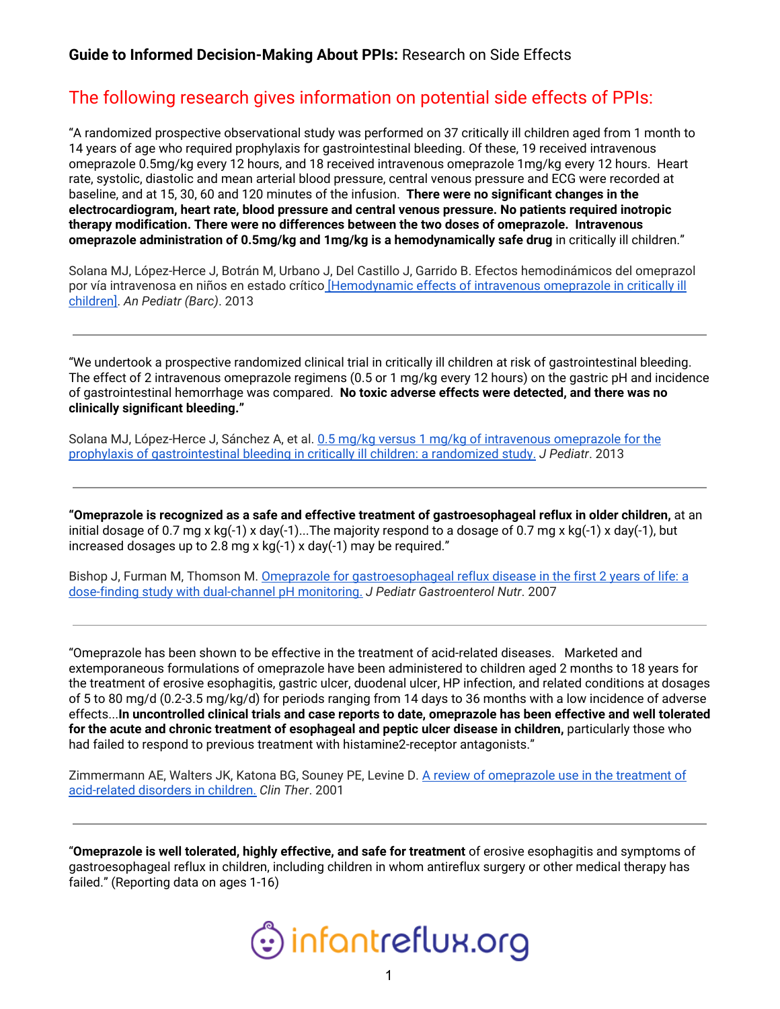# The following research gives information on potential side effects of PPIs:

"A randomized prospective observational study was performed on 37 critically ill children aged from 1 month to 14 years of age who required prophylaxis for gastrointestinal bleeding. Of these, 19 received intravenous omeprazole 0.5mg/kg every 12 hours, and 18 received intravenous omeprazole 1mg/kg every 12 hours. Heart rate, systolic, diastolic and mean arterial blood pressure, central venous pressure and ECG were recorded at baseline, and at 15, 30, 60 and 120 minutes of the infusion. **There were no significant changes in the electrocardiogram, heart rate, blood pressure and central venous pressure. No patients required inotropic therapy modification. There were no differences between the two doses of omeprazole. Intravenous omeprazole administration of 0.5mg/kg and 1mg/kg is a hemodynamically safe drug** in critically ill children."

Solana MJ, López-Herce J, Botrán M, Urbano J, Del Castillo J, Garrido B. Efectos hemodinámicos del omeprazol por vía intravenosa en niños en estado crítico [\[Hemodynamic](https://pubmed.ncbi.nlm.nih.gov/22818224-hemodynamic-effects-of-intravenous-omeprazole-in-critically-ill-children/) effects of intravenous omeprazole in critically ill [children\]](https://pubmed.ncbi.nlm.nih.gov/22818224-hemodynamic-effects-of-intravenous-omeprazole-in-critically-ill-children/). *An Pediatr (Barc)*. 2013

"We undertook a prospective randomized clinical trial in critically ill children at risk of gastrointestinal bleeding. The effect of 2 intravenous omeprazole regimens (0.5 or 1 mg/kg every 12 hours) on the gastric pH and incidence of gastrointestinal hemorrhage was compared. **No toxic adverse effects were detected, and there was no clinically significant bleeding."**

Solana MJ, López-Herce J, Sánchez A, et al. 0.5 mg/kg versus 1 mg/kg of intravenous [omeprazole](https://pubmed.ncbi.nlm.nih.gov/23149178-05-mgkg-versus-1-mgkg-of-intravenous-omeprazole-for-the-prophylaxis-of-gastrointestinal-bleeding-in-critically-ill-children-a-randomized-study/) for the prophylaxis of [gastrointestinal](https://pubmed.ncbi.nlm.nih.gov/23149178-05-mgkg-versus-1-mgkg-of-intravenous-omeprazole-for-the-prophylaxis-of-gastrointestinal-bleeding-in-critically-ill-children-a-randomized-study/) bleeding in critically ill children: a randomized study. *J Pediatr*. 2013

**"Omeprazole is recognized as a safe and effective treatment of gastroesophageal reflux in older children,** at an initial dosage of 0.7 mg x kg(-1) x day(-1)...The majority respond to a dosage of 0.7 mg x kg(-1) x day(-1), but increased dosages up to 2.8 mg x kg(-1) x day(-1) may be required."

Bishop J, Furman M, Thomson M. Omeprazole for [gastroesophageal](https://pubmed.ncbi.nlm.nih.gov/17592364-omeprazole-for-gastroesophageal-reflux-disease-in-the-first-2-years-of-life-a-dose-finding-study-with-dual-channel-ph-monitoring/) reflux disease in the first 2 years of life: a dose-finding study with [dual-channel](https://pubmed.ncbi.nlm.nih.gov/17592364-omeprazole-for-gastroesophageal-reflux-disease-in-the-first-2-years-of-life-a-dose-finding-study-with-dual-channel-ph-monitoring/) pH monitoring. *J Pediatr Gastroenterol Nutr*. 2007

"Omeprazole has been shown to be effective in the treatment of acid-related diseases. Marketed and extemporaneous formulations of omeprazole have been administered to children aged 2 months to 18 years for the treatment of erosive esophagitis, gastric ulcer, duodenal ulcer, HP infection, and related conditions at dosages of 5 to 80 mg/d (0.2-3.5 mg/kg/d) for periods ranging from 14 days to 36 months with a low incidence of adverse effects...In uncontrolled clinical trials and case reports to date, omeprazole has been effective and well tolerated **for the acute and chronic treatment of esophageal and peptic ulcer disease in children,** particularly those who had failed to respond to previous treatment with histamine2-receptor antagonists."

Zimmermann AE, Walters JK, Katona BG, Souney PE, Levine D. A review of [omeprazole](https://pubmed.ncbi.nlm.nih.gov/11394727-a-review-of-omeprazole-use-in-the-treatment-of-acid-related-disorders-in-children/) use in the treatment of [acid-related](https://pubmed.ncbi.nlm.nih.gov/11394727-a-review-of-omeprazole-use-in-the-treatment-of-acid-related-disorders-in-children/) disorders in children. *Clin Ther*. 2001

"**Omeprazole is well tolerated, highly effective, and safe for treatment** of erosive esophagitis and symptoms of gastroesophageal reflux in children, including children in whom antireflux surgery or other medical therapy has failed." (Reporting data on ages 1-16)

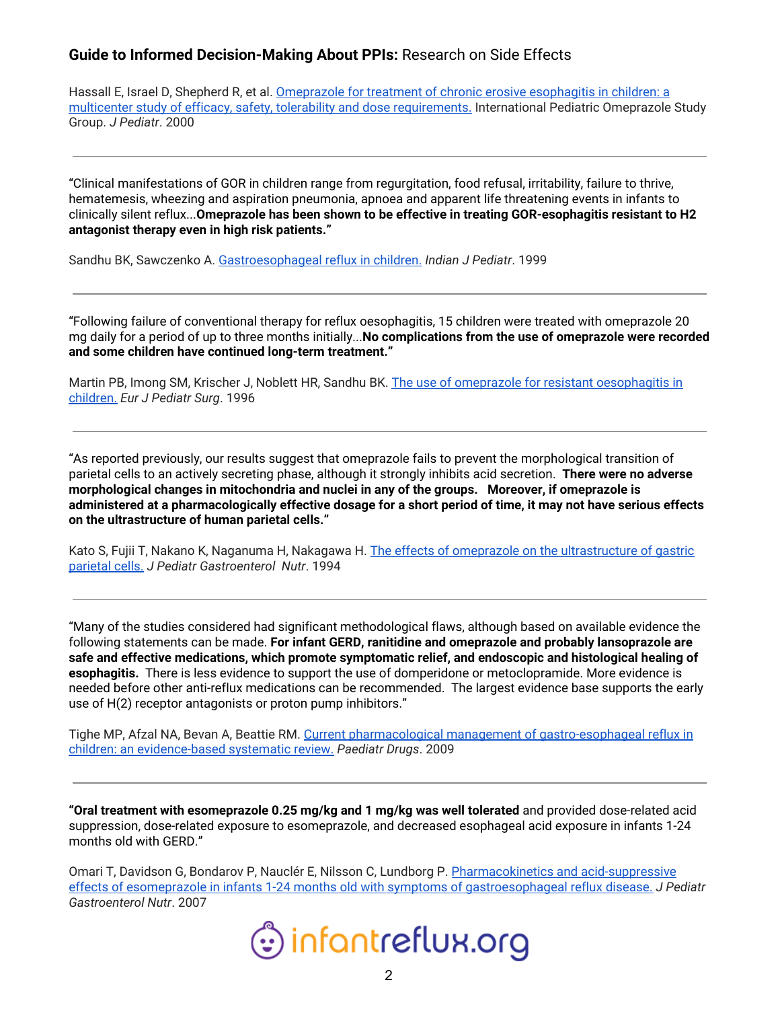Hassall E, Israel D, Shepherd R, et al. [Omeprazole](https://pubmed.ncbi.nlm.nih.gov/11113836-omeprazole-for-treatment-of-chronic-erosive-esophagitis-in-children-a-multicenter-study-of-efficacy-safety-tolerability-and-dose-requirements-international-pediatric-omeprazole-study-group/) for treatment of chronic erosive esophagitis in children: a multicenter study of efficacy, safety, tolerability and dose [requirements.](https://pubmed.ncbi.nlm.nih.gov/11113836-omeprazole-for-treatment-of-chronic-erosive-esophagitis-in-children-a-multicenter-study-of-efficacy-safety-tolerability-and-dose-requirements-international-pediatric-omeprazole-study-group/) International Pediatric Omeprazole Study Group. *J Pediatr*. 2000

"Clinical manifestations of GOR in children range from regurgitation, food refusal, irritability, failure to thrive, hematemesis, wheezing and aspiration pneumonia, apnoea and apparent life threatening events in infants to clinically silent reflux...**Omeprazole has been shown to be effective in treating GOR-esophagitis resistant to H2 antagonist therapy even in high risk patients."**

Sandhu BK, Sawczenko A. [Gastroesophageal](https://pubmed.ncbi.nlm.nih.gov/11132470-gastroesophageal-reflux-in-children/) reflux in children. *Indian J Pediatr*. 1999

"Following failure of conventional therapy for reflux oesophagitis, 15 children were treated with omeprazole 20 mg daily for a period of up to three months initially...**No complications from the use of omeprazole were recorded and some children have continued long-term treatment."**

Martin PB, Imong SM, Krischer J, Noblett HR, Sandhu BK. The use of omeprazole for resistant [oesophagitis](https://pubmed.ncbi.nlm.nih.gov/8877348-the-use-of-omeprazole-for-resistant-oesophagitis-in-children/) in [children.](https://pubmed.ncbi.nlm.nih.gov/8877348-the-use-of-omeprazole-for-resistant-oesophagitis-in-children/) *Eur J Pediatr Surg*. 1996

"As reported previously, our results suggest that omeprazole fails to prevent the morphological transition of parietal cells to an actively secreting phase, although it strongly inhibits acid secretion. **There were no adverse morphological changes in mitochondria and nuclei in any of the groups. Moreover, if omeprazole is** administered at a pharmacologically effective dosage for a short period of time, it may not have serious effects **on the ultrastructure of human parietal cells."**

Kato S, Fujii T, Nakano K, Naganuma H, Nakagawa H. The effects of omeprazole on the [ultrastructure](https://pubmed.ncbi.nlm.nih.gov/7965485-the-effects-of-omeprazole-on-the-ultrastructure-of-gastric-parietal-cells/) of gastric [parietal](https://pubmed.ncbi.nlm.nih.gov/7965485-the-effects-of-omeprazole-on-the-ultrastructure-of-gastric-parietal-cells/) cells. *J Pediatr Gastroenterol Nutr*. 1994

"Many of the studies considered had significant methodological flaws, although based on available evidence the following statements can be made. **For infant GERD, ranitidine and omeprazole and probably lansoprazole are safe and effective medications, which promote symptomatic relief, and endoscopic and histological healing of esophagitis.** There is less evidence to support the use of domperidone or metoclopramide. More evidence is needed before other anti-reflux medications can be recommended. The largest evidence base supports the early use of H(2) receptor antagonists or proton pump inhibitors."

Tighe MP, Afzal NA, Bevan A, Beattie RM. Current pharmacological management of [gastro-esophageal](https://pubmed.ncbi.nlm.nih.gov/19445547-current-pharmacological-management-of-gastro-esophageal-reflux-in-children-an-evidence-based-systematic-review/) reflux in children: an [evidence-based](https://pubmed.ncbi.nlm.nih.gov/19445547-current-pharmacological-management-of-gastro-esophageal-reflux-in-children-an-evidence-based-systematic-review/) systematic review. *Paediatr Drugs*. 2009

**"Oral treatment with esomeprazole 0.25 mg/kg and 1 mg/kg was well tolerated** and provided dose-related acid suppression, dose-related exposure to esomeprazole, and decreased esophageal acid exposure in infants 1-24 months old with GERD."

Omari T, Davidson G, Bondarov P, Nauclér E, Nilsson C, Lundborg P. [Pharmacokinetics](https://pubmed.ncbi.nlm.nih.gov/26422094-pharmacokinetics-and-acid-suppressive-effects-of-esomeprazole-in-infants-1-24-months-old-with-symptoms-of-gastroesophageal-reflux-disease/) and acid-suppressive effects of esomeprazole in infants 1-24 months old with symptoms of [gastroesophageal](https://pubmed.ncbi.nlm.nih.gov/26422094-pharmacokinetics-and-acid-suppressive-effects-of-esomeprazole-in-infants-1-24-months-old-with-symptoms-of-gastroesophageal-reflux-disease/) reflux disease. *J Pediatr Gastroenterol Nutr*. 2007

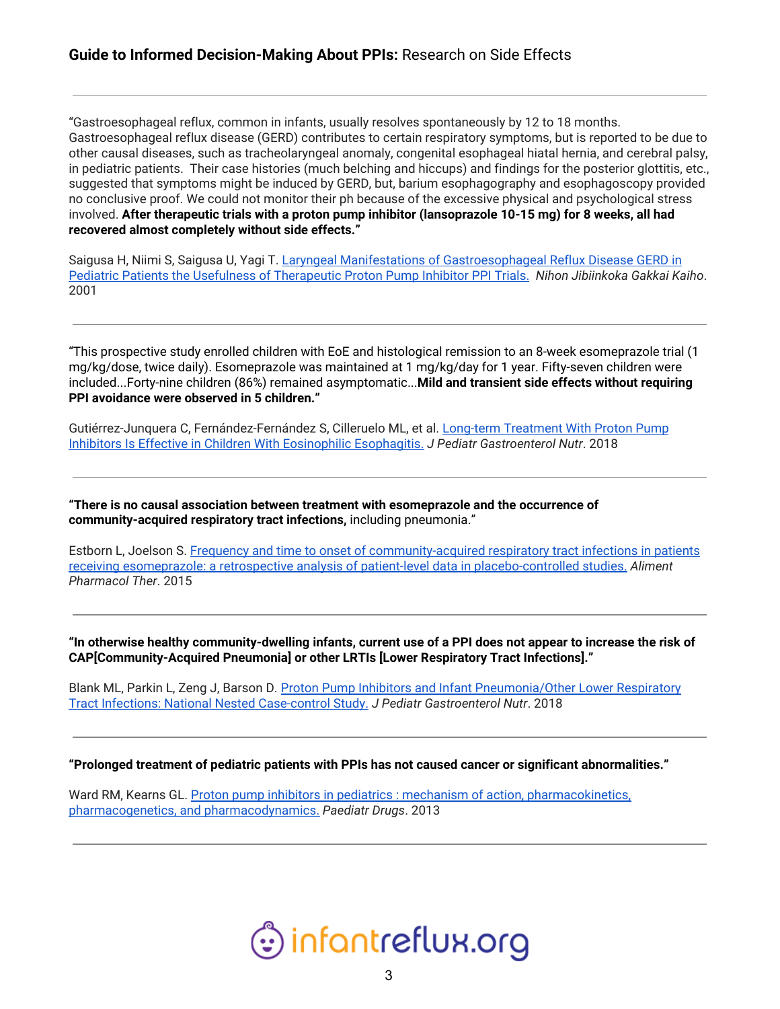"Gastroesophageal reflux, common in infants, usually resolves spontaneously by 12 to 18 months. Gastroesophageal reflux disease (GERD) contributes to certain respiratory symptoms, but is reported to be due to other causal diseases, such as tracheolaryngeal anomaly, congenital esophageal hiatal hernia, and cerebral palsy, in pediatric patients. Their case histories (much belching and hiccups) and findings for the posterior glottitis, etc., suggested that symptoms might be induced by GERD, but, barium esophagography and esophagoscopy provided no conclusive proof. We could not monitor their ph because of the excessive physical and psychological stress involved. **After therapeutic trials with a proton pump inhibitor (lansoprazole 10-15 mg) for 8 weeks, all had recovered almost completely without side effects."**

Saigusa H, Niimi S, Saigusa U, Yagi T. Laryngeal Manifestations of [Gastroesophageal](https://pubmed.ncbi.nlm.nih.gov/11710151-laryngeal-manifestations-of-gastroesophageal-reflux-disease-gerd-in-pediatric-patients-the-usefulness-of-therapeutic-proton-pump-inhibitor-ppi-trials/) Reflux Disease GERD in Pediatric Patients the Usefulness of [Therapeutic](https://pubmed.ncbi.nlm.nih.gov/11710151-laryngeal-manifestations-of-gastroesophageal-reflux-disease-gerd-in-pediatric-patients-the-usefulness-of-therapeutic-proton-pump-inhibitor-ppi-trials/) Proton Pump Inhibitor PPI Trials. *Nihon Jibiinkoka Gakkai Kaiho*. 2001

"This prospective study enrolled children with EoE and histological remission to an 8-week esomeprazole trial (1 mg/kg/dose, twice daily). Esomeprazole was maintained at 1 mg/kg/day for 1 year. Fifty-seven children were included...Forty-nine children (86%) remained asymptomatic...**Mild and transient side effects without requiring PPI avoidance were observed in 5 children."**

Gutiérrez-Junquera C, Fernández-Fernández S, Cilleruelo ML, et al. Long-term [Treatment](https://pubmed.ncbi.nlm.nih.gov/29509636-long-term-treatment-with-proton-pump-inhibitors-is-effective-in-children-with-eosinophilic-esophagitis/) With Proton Pump Inhibitors Is Effective in Children With Eosinophilic [Esophagitis.](https://pubmed.ncbi.nlm.nih.gov/29509636-long-term-treatment-with-proton-pump-inhibitors-is-effective-in-children-with-eosinophilic-esophagitis/) *J Pediatr Gastroenterol Nutr*. 2018

**"There is no causal association between treatment with esomeprazole and the occurrence of community-acquired respiratory tract infections,** including pneumonia."

Estborn L, Joelson S. Frequency and time to onset of [community-acquired](https://pubmed.ncbi.nlm.nih.gov/26147295-frequency-and-time-to-onset-of-community-acquired-respiratory-tract-infections-in-patients-receiving-esomeprazole-a-retrospective-analysis-of-patient-level-data-in-placebo-controlled-studies/) respiratory tract infections in patients receiving esomeprazole: a retrospective analysis of patient-level data in [placebo-controlled](https://pubmed.ncbi.nlm.nih.gov/26147295-frequency-and-time-to-onset-of-community-acquired-respiratory-tract-infections-in-patients-receiving-esomeprazole-a-retrospective-analysis-of-patient-level-data-in-placebo-controlled-studies/) studies. *Aliment Pharmacol Ther*. 2015

"In otherwise healthy community-dwelling infants, current use of a PPI does not appear to increase the risk of **CAP[Community-Acquired Pneumonia] or other LRTIs [Lower Respiratory Tract Infections]."**

Blank ML, Parkin L, Zeng J, Barson D. Proton Pump Inhibitors and Infant [Pneumonia/Other](https://pubmed.ncbi.nlm.nih.gov/29601438-proton-pump-inhibitors-and-infant-pneumoniaother-lower-respiratory-tract-infections-national-nested-case-control-study/) Lower Respiratory Tract Infections: National Nested [Case-control](https://pubmed.ncbi.nlm.nih.gov/29601438-proton-pump-inhibitors-and-infant-pneumoniaother-lower-respiratory-tract-infections-national-nested-case-control-study/) Study. *J Pediatr Gastroenterol Nutr*. 2018

#### **"Prolonged treatment of pediatric patients with PPIs has not caused cancer or significant abnormalities."**

Ward RM, Kearns GL. Proton pump inhibitors in pediatrics : mechanism of action, [pharmacokinetics,](https://pubmed.ncbi.nlm.nih.gov/23512128-proton-pump-inhibitors-in-pediatrics-mechanism-of-action-pharmacokinetics-pharmacogenetics-and-pharmacodynamics/) pharmacogenetics, and [pharmacodynamics.](https://pubmed.ncbi.nlm.nih.gov/23512128-proton-pump-inhibitors-in-pediatrics-mechanism-of-action-pharmacokinetics-pharmacogenetics-and-pharmacodynamics/) *Paediatr Drugs*. 2013

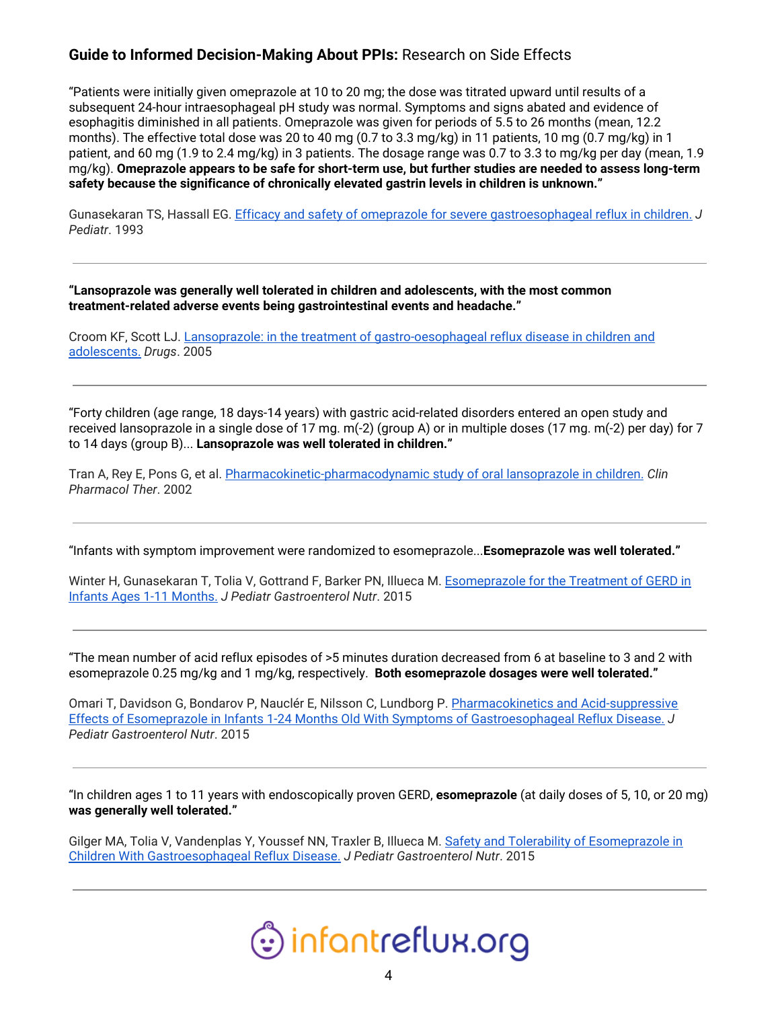"Patients were initially given omeprazole at 10 to 20 mg; the dose was titrated upward until results of a subsequent 24-hour intraesophageal pH study was normal. Symptoms and signs abated and evidence of esophagitis diminished in all patients. Omeprazole was given for periods of 5.5 to 26 months (mean, 12.2 months). The effective total dose was 20 to 40 mg (0.7 to 3.3 mg/kg) in 11 patients, 10 mg (0.7 mg/kg) in 1 patient, and 60 mg (1.9 to 2.4 mg/kg) in 3 patients. The dosage range was 0.7 to 3.3 to mg/kg per day (mean, 1.9 mg/kg). **Omeprazole appears to be safe for short-term use, but further studies are needed to assess long-term safety because the significance of chronically elevated gastrin levels in children is unknown."**

Gunasekaran TS, Hassall EG. Efficacy and safety of omeprazole for severe [gastroesophageal](https://pubmed.ncbi.nlm.nih.gov/8320610-efficacy-and-safety-of-omeprazole-for-severe-gastroesophageal-reflux-in-children/) reflux in children. *J Pediatr*. 1993

**"Lansoprazole was generally well tolerated in children and adolescents, with the most common treatment-related adverse events being gastrointestinal events and headache."**

Croom KF, Scott LJ. Lansoprazole: in the treatment of [gastro-oesophageal](https://pubmed.ncbi.nlm.nih.gov/16225368-lansoprazole-in-the-treatment-of-gastro-oesophageal-reflux-disease-in-children-and-adolescents/) reflux disease in children and [adolescents.](https://pubmed.ncbi.nlm.nih.gov/16225368-lansoprazole-in-the-treatment-of-gastro-oesophageal-reflux-disease-in-children-and-adolescents/) *Drugs*. 2005

"Forty children (age range, 18 days-14 years) with gastric acid-related disorders entered an open study and received lansoprazole in a single dose of 17 mg. m(-2) (group A) or in multiple doses (17 mg. m(-2) per day) for 7 to 14 days (group B)... **Lansoprazole was well tolerated in children."**

Tran A, Rey E, Pons G, et al. [Pharmacokinetic-pharmacodynamic](https://pubmed.ncbi.nlm.nih.gov/12011821-pharmacokinetic-pharmacodynamic-study-of-oral-lansoprazole-in-children/) study of oral lansoprazole in children. *Clin Pharmacol Ther*. 2002

"Infants with symptom improvement were randomized to esomeprazole...**Esomeprazole was well tolerated."**

Winter H, Gunasekaran T, Tolia V, Gottrand F, Barker PN, Illueca M. [Esomeprazole](https://pubmed.ncbi.nlm.nih.gov/26422097-esomeprazole-for-the-treatment-of-gerd-in-infants-ages-1-11-months/) for the Treatment of GERD in Infants Ages 1-11 [Months.](https://pubmed.ncbi.nlm.nih.gov/26422097-esomeprazole-for-the-treatment-of-gerd-in-infants-ages-1-11-months/) *J Pediatr Gastroenterol Nutr*. 2015

"The mean number of acid reflux episodes of >5 minutes duration decreased from 6 at baseline to 3 and 2 with esomeprazole 0.25 mg/kg and 1 mg/kg, respectively. **Both esomeprazole dosages were well tolerated."**

Omari T, Davidson G, Bondarov P, Nauclér E, Nilsson C, Lundborg P. [Pharmacokinetics](https://pubmed.ncbi.nlm.nih.gov/26422094-pharmacokinetics-and-acid-suppressive-effects-of-esomeprazole-in-infants-1-24-months-old-with-symptoms-of-gastroesophageal-reflux-disease/) and Acid-suppressive Effects of Esomeprazole in Infants 1-24 Months Old With Symptoms of [Gastroesophageal](https://pubmed.ncbi.nlm.nih.gov/26422094-pharmacokinetics-and-acid-suppressive-effects-of-esomeprazole-in-infants-1-24-months-old-with-symptoms-of-gastroesophageal-reflux-disease/) Reflux Disease. *J Pediatr Gastroenterol Nutr*. 2015

"In children ages 1 to 11 years with endoscopically proven GERD, **esomeprazole** (at daily doses of 5, 10, or 20 mg) **was generally well tolerated."**

Gilger MA, Tolia V, Vandenplas Y, Youssef NN, Traxler B, Illueca M. Safety and Tolerability of [Esomeprazole](https://pubmed.ncbi.nlm.nih.gov/26422093-safety-and-tolerability-of-esomeprazole-in-children-with-gastroesophageal-reflux-disease/) in Children With [Gastroesophageal](https://pubmed.ncbi.nlm.nih.gov/26422093-safety-and-tolerability-of-esomeprazole-in-children-with-gastroesophageal-reflux-disease/) Reflux Disease. *J Pediatr Gastroenterol Nutr*. 2015

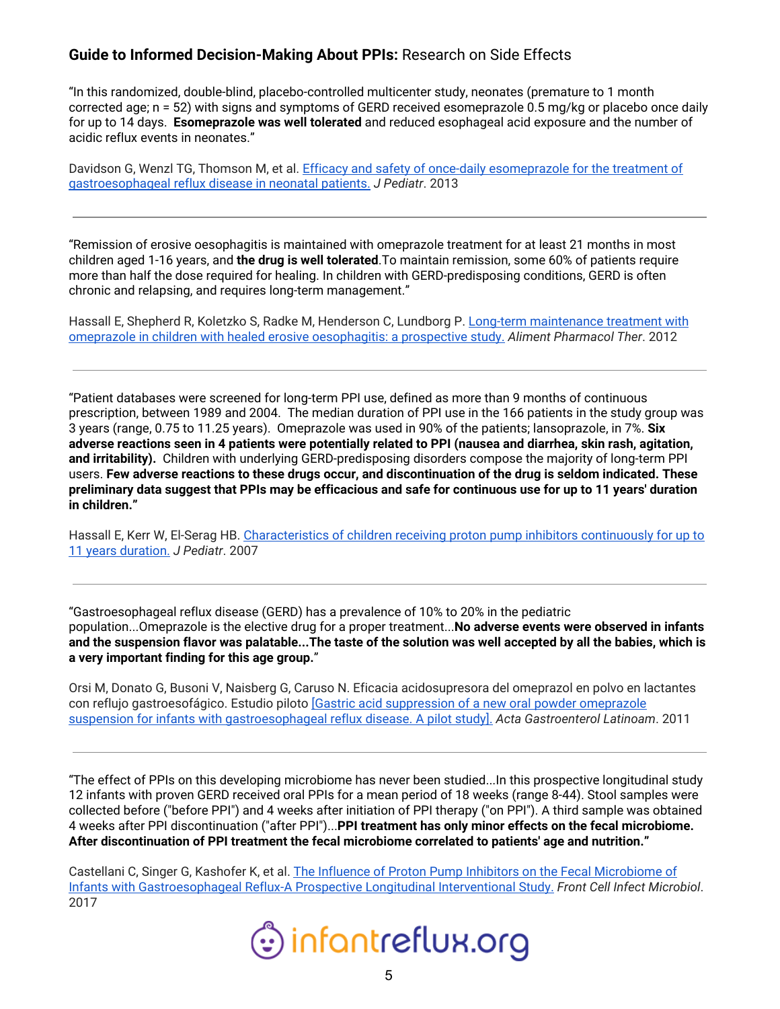"In this randomized, double-blind, placebo-controlled multicenter study, neonates (premature to 1 month corrected age; n = 52) with signs and symptoms of GERD received esomeprazole 0.5 mg/kg or placebo once daily for up to 14 days. **Esomeprazole was well tolerated** and reduced esophageal acid exposure and the number of acidic reflux events in neonates."

Davidson G, Wenzl TG, Thomson M, et al. Efficacy and safety of once-daily [esomeprazole](https://pubmed.ncbi.nlm.nih.gov/23800403-efficacy-and-safety-of-once-daily-esomeprazole-for-the-treatment-of-gastroesophageal-reflux-disease-in-neonatal-patients/) for the treatment of [gastroesophageal](https://pubmed.ncbi.nlm.nih.gov/23800403-efficacy-and-safety-of-once-daily-esomeprazole-for-the-treatment-of-gastroesophageal-reflux-disease-in-neonatal-patients/) reflux disease in neonatal patients. *J Pediatr*. 2013

"Remission of erosive oesophagitis is maintained with omeprazole treatment for at least 21 months in most children aged 1-16 years, and **the drug is well tolerated**.To maintain remission, some 60% of patients require more than half the dose required for healing. In children with GERD-predisposing conditions, GERD is often chronic and relapsing, and requires long-term management."

Hassall E, Shepherd R, Koletzko S, Radke M, Henderson C, Lundborg P. Long-term [maintenance](https://pubmed.ncbi.nlm.nih.gov/22176465-long-term-maintenance-treatment-with-omeprazole-in-children-with-healed-erosive-oesophagitis-a-prospective-study/) treatment with omeprazole in children with healed erosive [oesophagitis:](https://pubmed.ncbi.nlm.nih.gov/22176465-long-term-maintenance-treatment-with-omeprazole-in-children-with-healed-erosive-oesophagitis-a-prospective-study/) a prospective study. *Aliment Pharmacol Ther*. 2012

"Patient databases were screened for long-term PPI use, defined as more than 9 months of continuous prescription, between 1989 and 2004. The median duration of PPI use in the 166 patients in the study group was 3 years (range, 0.75 to 11.25 years). Omeprazole was used in 90% of the patients; lansoprazole, in 7%. **Six** adverse reactions seen in 4 patients were potentially related to PPI (nausea and diarrhea, skin rash, agitation, **and irritability).** Children with underlying GERD-predisposing disorders compose the majority of long-term PPI users. **Few adverse reactions to these drugs occur, and discontinuation of the drug is seldom indicated. These** preliminary data suggest that PPIs may be efficacious and safe for continuous use for up to 11 years' duration **in children."**

Hassall E, Kerr W, El-Serag HB. [Characteristics](https://pubmed.ncbi.nlm.nih.gov/17307542-characteristics-of-children-receiving-proton-pump-inhibitors-continuously-for-up-to-11-years-duration/) of children receiving proton pump inhibitors continuously for up to 11 years [duration.](https://pubmed.ncbi.nlm.nih.gov/17307542-characteristics-of-children-receiving-proton-pump-inhibitors-continuously-for-up-to-11-years-duration/) *J Pediatr*. 2007

"Gastroesophageal reflux disease (GERD) has a prevalence of 10% to 20% in the pediatric population...Omeprazole is the elective drug for a proper treatment...**No adverse events were observed in infants** and the suspension flavor was palatable...The taste of the solution was well accepted by all the babies, which is **a very important finding for this age group.**"

Orsi M, Donato G, Busoni V, Naisberg G, Caruso N. Eficacia acidosupresora del omeprazol en polvo en lactantes con reflujo gastroesofágico. Estudio piloto [Gastric acid [suppression](https://pubmed.ncbi.nlm.nih.gov/21894724-gastric-acid-suppression-of-a-new-oral-powder-omeprazole-suspension-for-infants-with-gastroesophageal-reflux-disease-a-pilot-study/) of a new oral powder omeprazole suspension for infants with [gastroesophageal](https://pubmed.ncbi.nlm.nih.gov/21894724-gastric-acid-suppression-of-a-new-oral-powder-omeprazole-suspension-for-infants-with-gastroesophageal-reflux-disease-a-pilot-study/) reflux disease. A pilot study]. *Acta Gastroenterol Latinoam*. 2011

"The effect of PPIs on this developing microbiome has never been studied...In this prospective longitudinal study 12 infants with proven GERD received oral PPIs for a mean period of 18 weeks (range 8-44). Stool samples were collected before ("before PPI") and 4 weeks after initiation of PPI therapy ("on PPI"). A third sample was obtained 4 weeks after PPI discontinuation ("after PPI")...**PPI treatment has only minor effects on the fecal microbiome. After discontinuation of PPI treatment the fecal microbiome correlated to patients' age and nutrition."**

Castellani C, Singer G, Kashofer K, et al. The Influence of Proton Pump Inhibitors on the Fecal [Microbiome](https://pubmed.ncbi.nlm.nih.gov/29075620-the-influence-of-proton-pump-inhibitors-on-the-fecal-microbiome-of-infants-with-gastroesophageal-reflux-a-prospective-longitudinal-interventional-study/) of Infants with [Gastroesophageal](https://pubmed.ncbi.nlm.nih.gov/29075620-the-influence-of-proton-pump-inhibitors-on-the-fecal-microbiome-of-infants-with-gastroesophageal-reflux-a-prospective-longitudinal-interventional-study/) Reflux-A Prospective Longitudinal Interventional Study. *Front Cell Infect Microbiol*. 2017

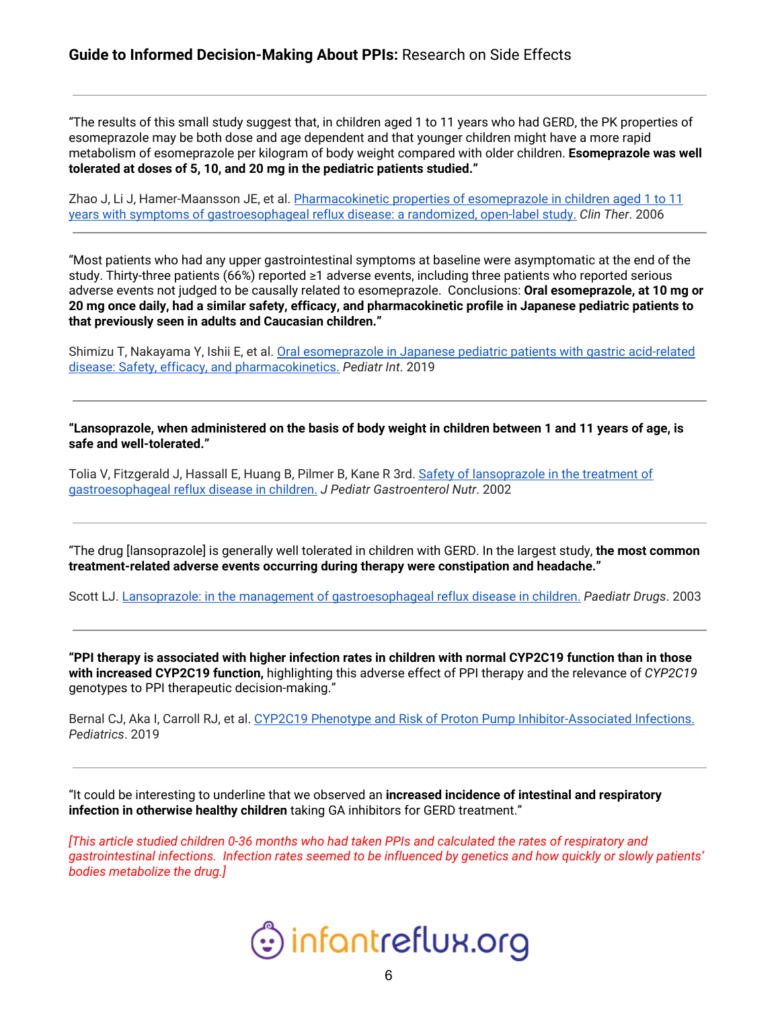"The results of this small study suggest that, in children aged 1 to 11 years who had GERD, the PK properties of esomeprazole may be both dose and age dependent and that younger children might have a more rapid metabolism of esomeprazole per kilogram of body weight compared with older children. **Esomeprazole was well tolerated at doses of 5, 10, and 20 mg in the pediatric patients studied."**

Zhao J, Li J, Hamer-Maansson JE, et al. [Pharmacokinetic](https://pubmed.ncbi.nlm.nih.gov/17213007-pharmacokinetic-properties-of-esomeprazole-in-children-aged-1-to-11-years-with-symptoms-of-gastroesophageal-reflux-disease-a-randomized-open-label-study/) properties of esomeprazole in children aged 1 to 11 years with symptoms of [gastroesophageal](https://pubmed.ncbi.nlm.nih.gov/17213007-pharmacokinetic-properties-of-esomeprazole-in-children-aged-1-to-11-years-with-symptoms-of-gastroesophageal-reflux-disease-a-randomized-open-label-study/) reflux disease: a randomized, open-label study. *Clin Ther*. 2006

"Most patients who had any upper gastrointestinal symptoms at baseline were asymptomatic at the end of the study. Thirty-three patients (66%) reported ≥1 adverse events, including three patients who reported serious adverse events not judged to be causally related to esomeprazole. Conclusions: **Oral esomeprazole, at 10 mg or** 20 mg once daily, had a similar safety, efficacy, and pharmacokinetic profile in Japanese pediatric patients to **that previously seen in adults and Caucasian children."**

Shimizu T, Nakayama Y, Ishii E, et al. Oral [esomeprazole](https://pubmed.ncbi.nlm.nih.gov/30422368-oral-esomeprazole-in-japanese-pediatric-patients-with-gastric-acid-related-disease-safety-efficacy-and-pharmacokinetics/) in Japanese pediatric patients with gastric acid-related disease: Safety, efficacy, and [pharmacokinetics.](https://pubmed.ncbi.nlm.nih.gov/30422368-oral-esomeprazole-in-japanese-pediatric-patients-with-gastric-acid-related-disease-safety-efficacy-and-pharmacokinetics/) *Pediatr Int*. 2019

"Lansoprazole, when administered on the basis of body weight in children between 1 and 11 years of age, is **safe and well-tolerated."**

Tolia V, Fitzgerald J, Hassall E, Huang B, Pilmer B, Kane R 3rd. Safety of [lansoprazole](https://pubmed.ncbi.nlm.nih.gov/12607790-safety-of-lansoprazole-in-the-treatment-of-gastroesophageal-reflux-disease-in-children/) in the treatment of [gastroesophageal](https://pubmed.ncbi.nlm.nih.gov/12607790-safety-of-lansoprazole-in-the-treatment-of-gastroesophageal-reflux-disease-in-children/) reflux disease in children. *J Pediatr Gastroenterol Nutr*. 2002

"The drug [lansoprazole] is generally well tolerated in children with GERD. In the largest study, **the most common treatment-related adverse events occurring during therapy were constipation and headache."**

Scott LJ. Lansoprazole: in the management of [gastroesophageal](https://pubmed.ncbi.nlm.nih.gov/12513106-lansoprazole-in-the-management-of-gastroesophageal-reflux-disease-in-children/) reflux disease in children. *Paediatr Drugs*. 2003

"PPI therapy is associated with higher infection rates in children with normal CYP2C19 function than in those **with increased CYP2C19 function,** highlighting this adverse effect of PPI therapy and the relevance of *CYP2C19* genotypes to PPI therapeutic decision-making."

Bernal CJ, Aka I, Carroll RJ, et al. CYP2C19 Phenotype and Risk of Proton Pump [Inhibitor-Associated](https://pubmed.ncbi.nlm.nih.gov/31699831-cyp2c19-phenotype-and-risk-of-proton-pump-inhibitor-associated-infections/) Infections. *Pediatrics*. 2019

"It could be interesting to underline that we observed an **increased incidence of intestinal and respiratory infection in otherwise healthy children** taking GA inhibitors for GERD treatment."

*[This article studied children 0-36 months who had taken PPIs and calculated the rates of respiratory and* gastrointestinal infections. Infection rates seemed to be influenced by genetics and how quickly or slowly patients' *bodies metabolize the drug.]*

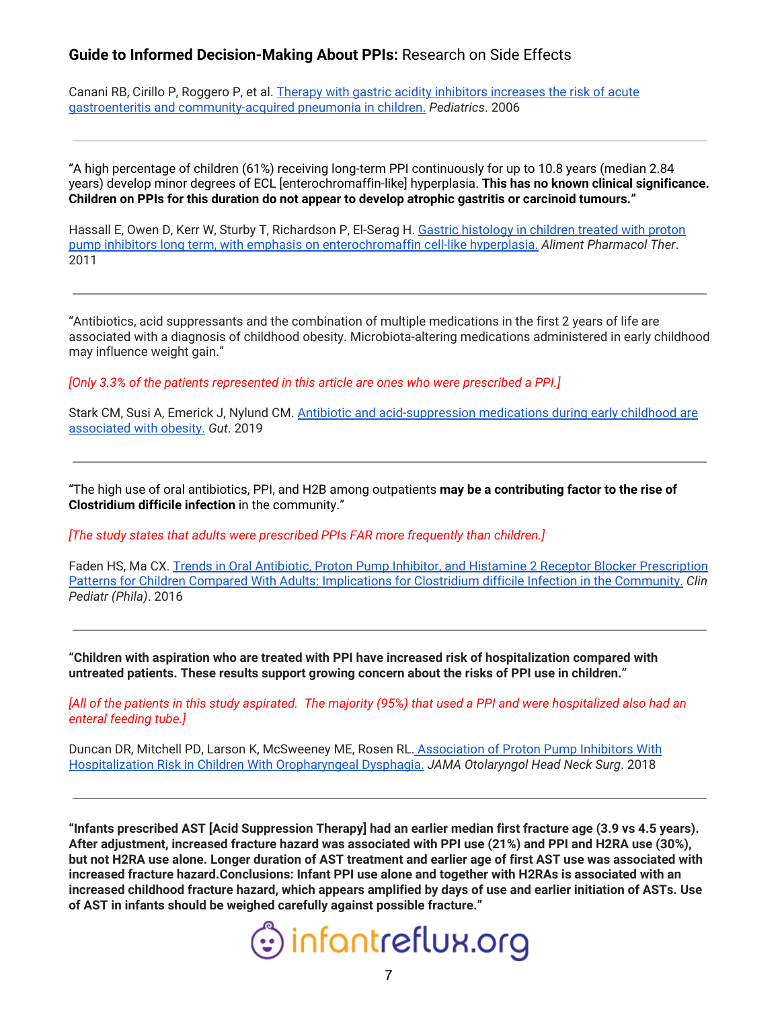Canani RB, Cirillo P, Roggero P, et al. Therapy with gastric acidity inhibitors [increases](https://pubmed.ncbi.nlm.nih.gov/16651285-therapy-with-gastric-acidity-inhibitors-increases-the-risk-of-acute-gastroenteritis-and-community-acquired-pneumonia-in-children/) the risk of acute gastroenteritis and [community-acquired](https://pubmed.ncbi.nlm.nih.gov/16651285-therapy-with-gastric-acidity-inhibitors-increases-the-risk-of-acute-gastroenteritis-and-community-acquired-pneumonia-in-children/) pneumonia in children. *Pediatrics*. 2006

"A high percentage of children (61%) receiving long-term PPI continuously for up to 10.8 years (median 2.84 years) develop minor degrees of ECL [enterochromaffin-like] hyperplasia. **This has no known clinical significance. Children on PPIs for this duration do not appear to develop atrophic gastritis or carcinoid tumours."**

Hassall E, Owen D, Kerr W, Sturby T, Richardson P, El-Serag H. Gastric [histology](https://pubmed.ncbi.nlm.nih.gov/21320136-gastric-histology-in-children-treated-with-proton-pump-inhibitors-long-term-with-emphasis-on-enterochromaffin-cell-like-hyperplasia/) in children treated with proton pump inhibitors long term, with emphasis on [enterochromaffin](https://pubmed.ncbi.nlm.nih.gov/21320136-gastric-histology-in-children-treated-with-proton-pump-inhibitors-long-term-with-emphasis-on-enterochromaffin-cell-like-hyperplasia/) cell-like hyperplasia. *Aliment Pharmacol Ther*. 2011

"Antibiotics, acid suppressants and the combination of multiple medications in the first 2 years of life are associated with a diagnosis of childhood obesity. Microbiota-altering medications administered in early childhood may influence weight gain."

*[Only 3.3% of the patients represented in this article are ones who were prescribed a PPI.]*

Stark CM, Susi A, Emerick J, Nylund CM. Antibiotic and [acid-suppression](https://pubmed.ncbi.nlm.nih.gov/30377188-antibiotic-and-acid-suppression-medications-during-early-childhood-are-associated-with-obesity/) medications during early childhood are [associated](https://pubmed.ncbi.nlm.nih.gov/30377188-antibiotic-and-acid-suppression-medications-during-early-childhood-are-associated-with-obesity/) with obesity. *Gut*. 2019

"The high use of oral antibiotics, PPI, and H2B among outpatients **may be a contributing factor to the rise of Clostridium difficile infection** in the community."

*[The study states that adults were prescribed PPIs FAR more frequently than children.]*

Faden HS, Ma CX. Trends in Oral Antibiotic, Proton Pump Inhibitor, and Histamine 2 Receptor Blocker [Prescription](https://pubmed.ncbi.nlm.nih.gov/26350427-trends-in-oral-antibiotic-proton-pump-inhibitor-and-histamine-2-receptor-blocker-prescription-patterns-for-children-compared-with-adults-implications-for-clostridium-difficile-infection-in-the-community/) Patterns for Children Compared With Adults: [Implications](https://pubmed.ncbi.nlm.nih.gov/26350427-trends-in-oral-antibiotic-proton-pump-inhibitor-and-histamine-2-receptor-blocker-prescription-patterns-for-children-compared-with-adults-implications-for-clostridium-difficile-infection-in-the-community/) for Clostridium difficile Infection in the Community. *Clin Pediatr (Phila)*. 2016

**"Children with aspiration who are treated with PPI have increased risk of hospitalization compared with untreated patients. These results support growing concern about the risks of PPI use in children."**

[All of the patients in this study aspirated. The majority (95%) that used a PPI and were hospitalized also had an *enteral feeding tube.]*

Duncan DR, Mitchell PD, Larson K, McSweeney ME, Rosen RL. [Association](https://pubmed.ncbi.nlm.nih.gov/30325987-association-of-proton-pump-inhibitors-with-hospitalization-risk-in-children-with-oropharyngeal-dysphagia/) of Proton Pump Inhibitors With [Hospitalization](https://pubmed.ncbi.nlm.nih.gov/30325987-association-of-proton-pump-inhibitors-with-hospitalization-risk-in-children-with-oropharyngeal-dysphagia/) Risk in Children With Oropharyngeal Dysphagia. *JAMA Otolaryngol Head Neck Surg*. 2018

"Infants prescribed AST [Acid Suppression Therapy] had an earlier median first fracture age (3.9 vs 4.5 years). **After adjustment, increased fracture hazard was associated with PPI use (21%) and PPI and H2RA use (30%),** but not H2RA use alone. Longer duration of AST treatment and earlier age of first AST use was associated with **increased fracture hazard.Conclusions: Infant PPI use alone and together with H2RAs is associated with an** increased childhood fracture hazard, which appears amplified by days of use and earlier initiation of ASTs. Use **of AST in infants should be weighed carefully against possible fracture."**

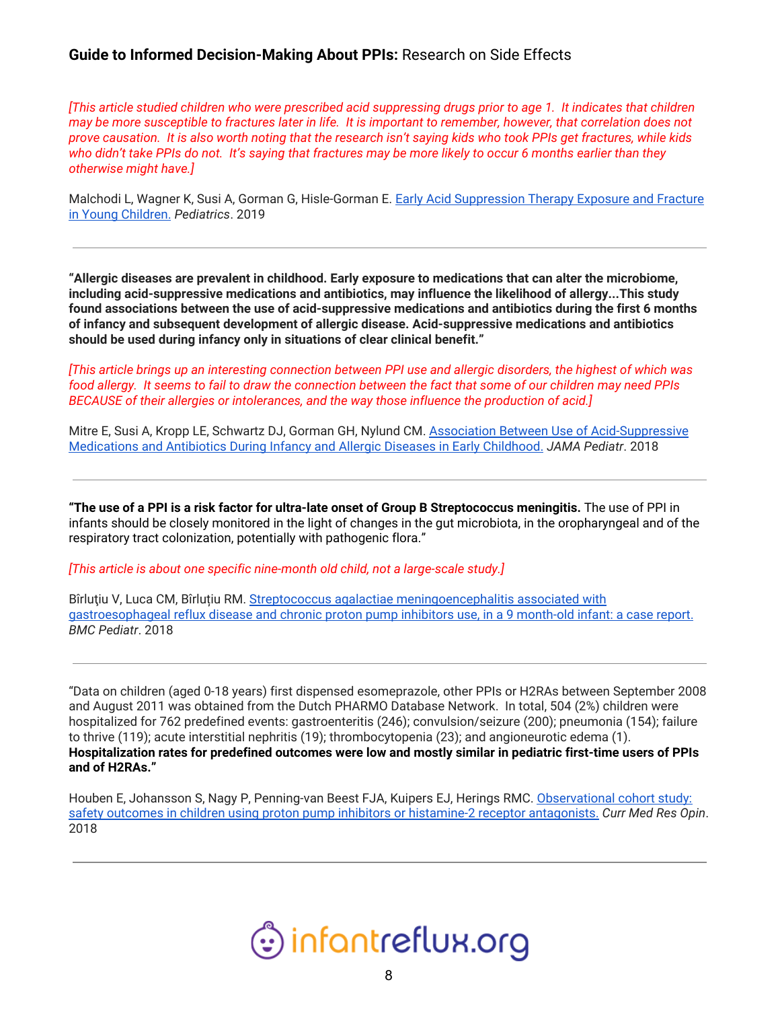[This article studied children who were prescribed acid suppressing drugs prior to age 1. It indicates that children may be more susceptible to fractures later in life. It is important to remember, however, that correlation does not prove causation. It is also worth noting that the research isn't saying kids who took PPIs get fractures, while kids who didn't take PPIs do not. It's saying that fractures may be more likely to occur 6 months earlier than they *otherwise might have.]*

Malchodi L, Wagner K, Susi A, Gorman G, Hisle-Gorman E. Early Acid [Suppression](https://pubmed.ncbi.nlm.nih.gov/31175146-early-acid-suppression-therapy-exposure-and-fracture-in-young-children/) Therapy Exposure and Fracture in Young [Children.](https://pubmed.ncbi.nlm.nih.gov/31175146-early-acid-suppression-therapy-exposure-and-fracture-in-young-children/) *Pediatrics*. 2019

**"Allergic diseases are prevalent in childhood. Early exposure to medications that can alter the microbiome, including acid-suppressive medications and antibiotics, may influence the likelihood of allergy...This study found associations between the use of acid-suppressive medications and antibiotics during the first 6 months of infancy and subsequent development of allergic disease. Acid-suppressive medications and antibiotics should be used during infancy only in situations of clear clinical benefit."**

[This article brings up an interesting connection between PPI use and allergic disorders, the highest of which was food allergy. It seems to fail to draw the connection between the fact that some of our children may need PPIs *BECAUSE of their allergies or intolerances, and the way those influence the production of acid.]*

Mitre E, Susi A, Kropp LE, Schwartz DJ, Gorman GH, Nylund CM. Association Between Use of [Acid-Suppressive](https://pubmed.ncbi.nlm.nih.gov/29610864-association-between-use-of-acid-suppressive-medications-and-antibiotics-during-infancy-and-allergic-diseases-in-early-childhood/) [Medications](https://pubmed.ncbi.nlm.nih.gov/29610864-association-between-use-of-acid-suppressive-medications-and-antibiotics-during-infancy-and-allergic-diseases-in-early-childhood/) and Antibiotics During Infancy and Allergic Diseases in Early Childhood. *JAMA Pediatr*. 2018

"The use of a PPI is a risk factor for ultra-late onset of Group B Streptococcus meningitis. The use of PPI in infants should be closely monitored in the light of changes in the gut microbiota, in the oropharyngeal and of the respiratory tract colonization, potentially with pathogenic flora."

*[This article is about one specific nine-month old child, not a large-scale study.]*

Bîrluțiu V, Luca CM, Bîrluțiu RM. Streptococcus agalactiae [meningoencephalitis](https://pubmed.ncbi.nlm.nih.gov/29390957-streptococcus-agalactiae-meningoencephalitis-associated-with-gastroesophageal-reflux-disease-and-chronic-proton-pump-inhibitors-use-in-a-9-month-old-infant-a-case-report/) associated with [gastroesophageal](https://pubmed.ncbi.nlm.nih.gov/29390957-streptococcus-agalactiae-meningoencephalitis-associated-with-gastroesophageal-reflux-disease-and-chronic-proton-pump-inhibitors-use-in-a-9-month-old-infant-a-case-report/) reflux disease and chronic proton pump inhibitors use, in a 9 month-old infant: a case report. *BMC Pediatr*. 2018

"Data on children (aged 0-18 years) first dispensed esomeprazole, other PPIs or H2RAs between September 2008 and August 2011 was obtained from the Dutch PHARMO Database Network. In total, 504 (2%) children were hospitalized for 762 predefined events: gastroenteritis (246); convulsion/seizure (200); pneumonia (154); failure to thrive (119); acute interstitial nephritis (19); thrombocytopenia (23); and angioneurotic edema (1). **Hospitalization rates for predefined outcomes were low and mostly similar in pediatric first-time users of PPIs and of H2RAs."**

Houben E, Johansson S, Nagy P, Penning-van Beest FJA, Kuipers EJ, Herings RMC. [Observational](https://pubmed.ncbi.nlm.nih.gov/29149805-observational-cohort-study-safety-outcomes-in-children-using-proton-pump-inhibitors-or-histamine-2-receptor-antagonists/) cohort study: safety outcomes in children using proton pump inhibitors or histamine-2 receptor [antagonists.](https://pubmed.ncbi.nlm.nih.gov/29149805-observational-cohort-study-safety-outcomes-in-children-using-proton-pump-inhibitors-or-histamine-2-receptor-antagonists/) *Curr Med Res Opin*. 2018